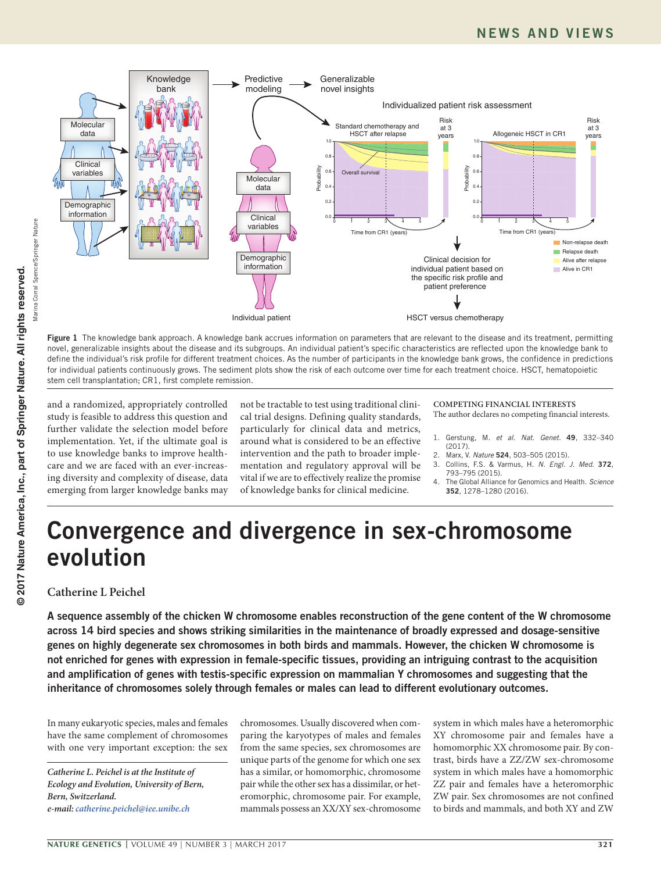

Figure 1 The knowledge bank approach. A knowledge bank accrues information on parameters that are relevant to the disease and its treatment, permitting novel, generalizable insights about the disease and its subgroups. An individual patient's specific characteristics are reflected upon the knowledge bank to define the individual's risk profile for different treatment choices. As the number of participants in the knowledge bank grows, the confidence in predictions for individual patients continuously grows. The sediment plots show the risk of each outcome over time for each treatment choice. HSCT, hematopoietic stem cell transplantation; CR1, first complete remission.

and a randomized, appropriately controlled study is feasible to address this question and further validate the selection model before implementation. Yet, if the ultimate goal is to use knowledge banks to improve healthcare and we are faced with an ever-increasing diversity and complexity of disease, data emerging from larger knowledge banks may

not be tractable to test using traditional clinical trial designs. Defining quality standards, particularly for clinical data and metrics, around what is considered to be an effective intervention and the path to broader implementation and regulatory approval will be vital if we are to effectively realize the promise of knowledge banks for clinical medicine.

#### **COMPETING FINANCIAL INTERESTS** The author declares no competing financial interests.

- 1. Gerstung, M. *et al. Nat. Genet.* 49, 332–340
- (2017). 2. Marx, V. *Nature* 524, 503–505 (2015).
- 3. Collins, F.S. & Varmus, H. *N. Engl. J. Med.* 372,
- 793–795 (2015).
- 4. The Global Alliance for Genomics and Health. *Science*  352, 1278–1280 (2016).

# Convergence and divergence in sex-chromosome evolution

# **Catherine L Peichel**

A sequence assembly of the chicken W chromosome enables reconstruction of the gene content of the W chromosome across 14 bird species and shows striking similarities in the maintenance of broadly expressed and dosage-sensitive genes on highly degenerate sex chromosomes in both birds and mammals. However, the chicken W chromosome is not enriched for genes with expression in female-specific tissues, providing an intriguing contrast to the acquisition and amplification of genes with testis-specific expression on mammalian Y chromosomes and suggesting that the inheritance of chromosomes solely through females or males can lead to different evolutionary outcomes.

In many eukaryotic species, males and females have the same complement of chromosomes with one very important exception: the sex

*Catherine L. Peichel is at the Institute of Ecology and Evolution, University of Bern, Bern, Switzerland. e-mail: [catherine.peichel@iee.unibe.ch](mailto:catherine.peichel@iee.unibe.ch)*

chromosomes. Usually discovered when comparing the karyotypes of males and females from the same species, sex chromosomes are unique parts of the genome for which one sex has a similar, or homomorphic, chromosome pair while the other sex has a dissimilar, or heteromorphic, chromosome pair. For example, mammals possess an XX/XY sex-chromosome

system in which males have a heteromorphic XY chromosome pair and females have a homomorphic XX chromosome pair. By contrast, birds have a ZZ/ZW sex-chromosome system in which males have a homomorphic ZZ pair and females have a heteromorphic ZW pair. Sex chromosomes are not confined to birds and mammals, and both XY and ZW

Marina Corral Spence/Springer Nature